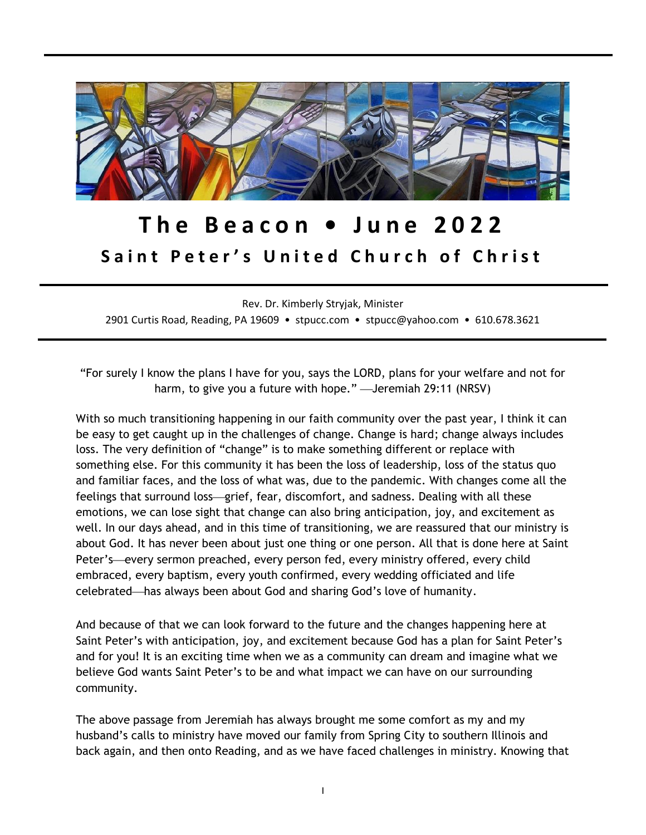

# **T h e B e a c o n • J u n e 2022** Saint Peter's United Church of Christ

Rev. Dr. Kimberly Stryjak, Minister 2901 Curtis Road, Reading, PA 19609 • stpucc.com • stpucc@yahoo.com • 610.678.3621

"For surely I know the plans I have for you, says the LORD, plans for your welfare and not for harm, to give you a future with hope." - Jeremiah 29:11 (NRSV)

With so much transitioning happening in our faith community over the past year, I think it can be easy to get caught up in the challenges of change. Change is hard; change always includes loss. The very definition of "change" is to make something different or replace with something else. For this community it has been the loss of leadership, loss of the status quo and familiar faces, and the loss of what was, due to the pandemic. With changes come all the feelings that surround loss—grief, fear, discomfort, and sadness. Dealing with all these emotions, we can lose sight that change can also bring anticipation, joy, and excitement as well. In our days ahead, and in this time of transitioning, we are reassured that our ministry is about God. It has never been about just one thing or one person. All that is done here at Saint Peter's—every sermon preached, every person fed, every ministry offered, every child embraced, every baptism, every youth confirmed, every wedding officiated and life celebrated—has always been about God and sharing God's love of humanity.

And because of that we can look forward to the future and the changes happening here at Saint Peter's with anticipation, joy, and excitement because God has a plan for Saint Peter's and for you! It is an exciting time when we as a community can dream and imagine what we believe God wants Saint Peter's to be and what impact we can have on our surrounding community.

The above passage from Jeremiah has always brought me some comfort as my and my husband's calls to ministry have moved our family from Spring City to southern Illinois and back again, and then onto Reading, and as we have faced challenges in ministry. Knowing that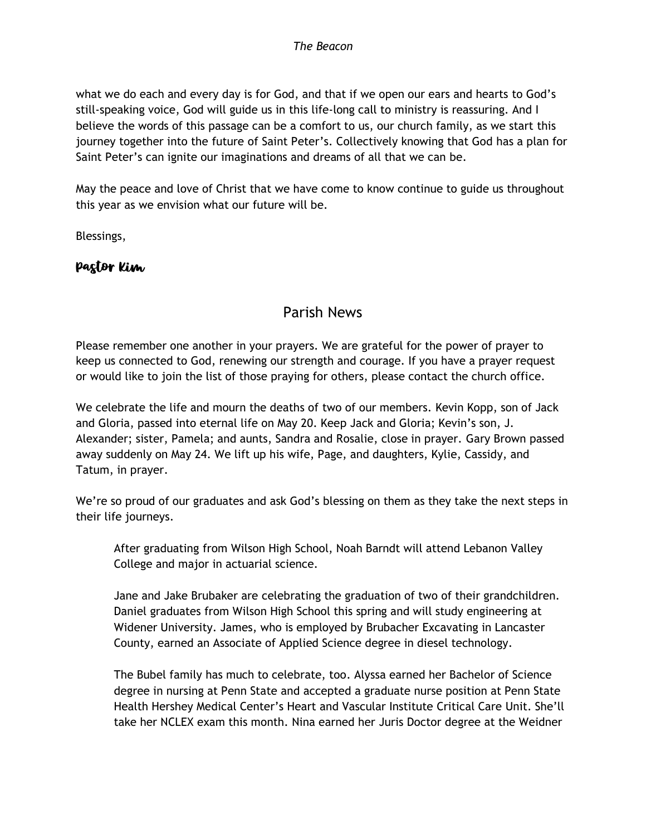what we do each and every day is for God, and that if we open our ears and hearts to God's still-speaking voice, God will guide us in this life-long call to ministry is reassuring. And I believe the words of this passage can be a comfort to us, our church family, as we start this journey together into the future of Saint Peter's. Collectively knowing that God has a plan for Saint Peter's can ignite our imaginations and dreams of all that we can be.

May the peace and love of Christ that we have come to know continue to guide us throughout this year as we envision what our future will be.

Blessings,

#### Pastor Kim

### Parish News

Please remember one another in your prayers. We are grateful for the power of prayer to keep us connected to God, renewing our strength and courage. If you have a prayer request or would like to join the list of those praying for others, please contact the church office.

We celebrate the life and mourn the deaths of two of our members. Kevin Kopp, son of Jack and Gloria, passed into eternal life on May 20. Keep Jack and Gloria; Kevin's son, J. Alexander; sister, Pamela; and aunts, Sandra and Rosalie, close in prayer. Gary Brown passed away suddenly on May 24. We lift up his wife, Page, and daughters, Kylie, Cassidy, and Tatum, in prayer.

We're so proud of our graduates and ask God's blessing on them as they take the next steps in their life journeys.

After graduating from Wilson High School, Noah Barndt will attend Lebanon Valley College and major in actuarial science.

Jane and Jake Brubaker are celebrating the graduation of two of their grandchildren. Daniel graduates from Wilson High School this spring and will study engineering at Widener University. James, who is employed by Brubacher Excavating in Lancaster County, earned an Associate of Applied Science degree in diesel technology.

The Bubel family has much to celebrate, too. Alyssa earned her Bachelor of Science degree in nursing at Penn State and accepted a graduate nurse position at Penn State Health Hershey Medical Center's Heart and Vascular Institute Critical Care Unit. She'll take her NCLEX exam this month. Nina earned her Juris Doctor degree at the Weidner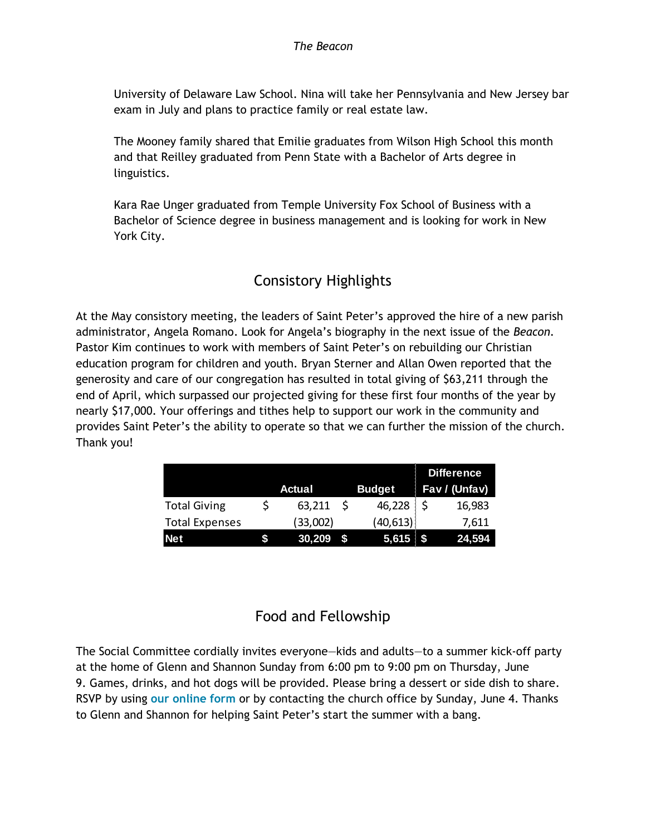University of Delaware Law School. Nina will take her Pennsylvania and New Jersey bar exam in July and plans to practice family or real estate law.

The Mooney family shared that Emilie graduates from Wilson High School this month and that Reilley graduated from Penn State with a Bachelor of Arts degree in linguistics.

Kara Rae Unger graduated from Temple University Fox School of Business with a Bachelor of Science degree in business management and is looking for work in New York City.

## Consistory Highlights

At the May consistory meeting, the leaders of Saint Peter's approved the hire of a new parish administrator, Angela Romano. Look for Angela's biography in the next issue of the *Beacon.*  Pastor Kim continues to work with members of Saint Peter's on rebuilding our Christian education program for children and youth. Bryan Sterner and Allan Owen reported that the generosity and care of our congregation has resulted in total giving of \$63,211 through the end of April, which surpassed our projected giving for these first four months of the year by nearly \$17,000. Your offerings and tithes help to support our work in the community and provides Saint Peter's the ability to operate so that we can further the mission of the church. Thank you!

|                       |  |          |  | <b>Difference</b> |  |               |
|-----------------------|--|----------|--|-------------------|--|---------------|
|                       |  | Actual   |  | <b>Budget</b>     |  | Fav / (Unfav) |
| <b>Total Giving</b>   |  | 63,211   |  | 46,228            |  | 16,983        |
| <b>Total Expenses</b> |  | (33,002) |  | (40, 613)         |  | 7.611         |
| <b>Net</b>            |  | 30,209   |  | 5,615             |  | 24,594        |

## Food and Fellowship

The Social Committee cordially invites everyone—kids and adults—to a summer kick-off party at the home of Glenn and Shannon Sunday from 6:00 pm to 9:00 pm on Thursday, June 9. Games, drinks, and hot dogs will be provided. Please bring a dessert or side dish to share. RSVP by using **[our online form](https://forms.gle/kuqHd6CTLzaGCq6K8)** or by contacting the church office by Sunday, June 4. Thanks to Glenn and Shannon for helping Saint Peter's start the summer with a bang.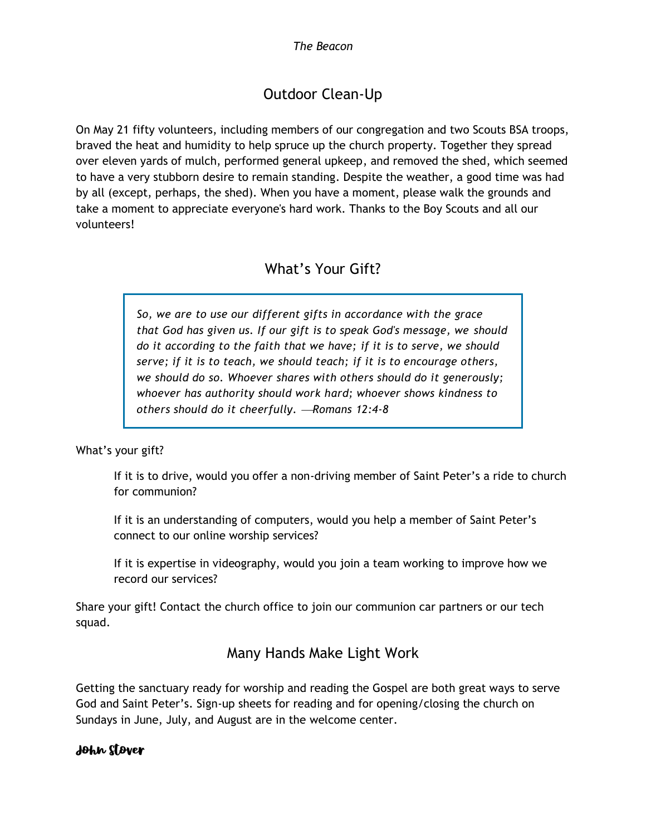# Outdoor Clean-Up

On May 21 fifty volunteers, including members of our congregation and two Scouts BSA troops, braved the heat and humidity to help spruce up the church property. Together they spread over eleven yards of mulch, performed general upkeep, and removed the shed, which seemed to have a very stubborn desire to remain standing. Despite the weather, a good time was had by all (except, perhaps, the shed). When you have a moment, please walk the grounds and take a moment to appreciate everyone's hard work. Thanks to the Boy Scouts and all our volunteers!

### What's Your Gift?

*So, we are to use our different gifts in accordance with the grace that God has given us. If our gift is to speak God's message, we should do it according to the faith that we have; if it is to serve, we should serve; if it is to teach, we should teach; if it is to encourage others, we should do so. Whoever shares with others should do it generously; whoever has authority should work hard; whoever shows kindness to others should do it cheerfully.* <sup>⎯</sup>*Romans 12:4-8*

What's your gift?

If it is to drive, would you offer a non-driving member of Saint Peter's a ride to church for communion?

If it is an understanding of computers, would you help a member of Saint Peter's connect to our online worship services?

If it is expertise in videography, would you join a team working to improve how we record our services?

Share your gift! Contact the church office to join our communion car partners or our tech squad.

### Many Hands Make Light Work

Getting the sanctuary ready for worship and reading the Gospel are both great ways to serve God and Saint Peter's. Sign-up sheets for reading and for opening/closing the church on Sundays in June, July, and August are in the welcome center.

#### John Stover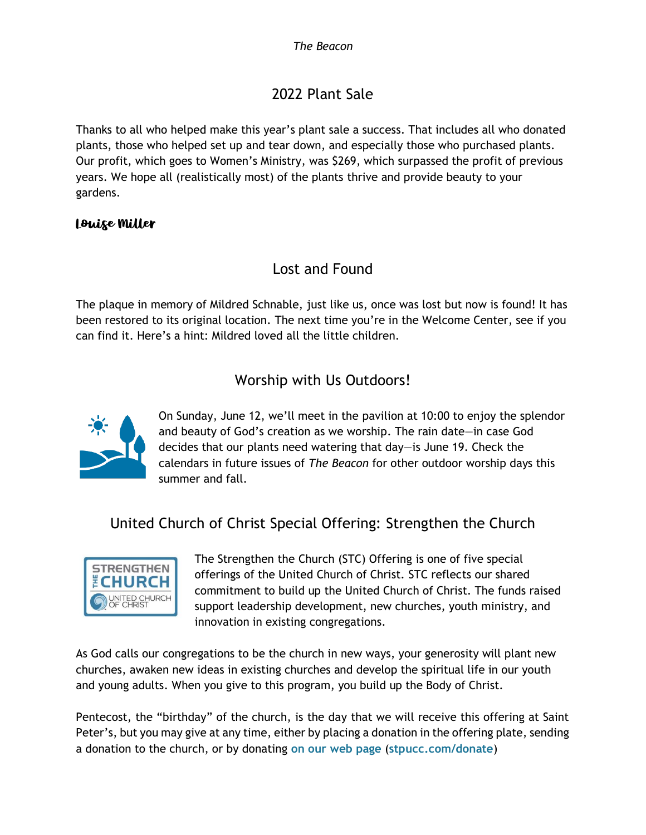# 2022 Plant Sale

Thanks to all who helped make this year's plant sale a success. That includes all who donated plants, those who helped set up and tear down, and especially those who purchased plants. Our profit, which goes to Women's Ministry, was \$269, which surpassed the profit of previous years. We hope all (realistically most) of the plants thrive and provide beauty to your gardens.

#### Louise Miller

### Lost and Found

The plaque in memory of Mildred Schnable, just like us, once was lost but now is found! It has been restored to its original location. The next time you're in the Welcome Center, see if you can find it. Here's a hint: Mildred loved all the little children.

### Worship with Us Outdoors!



On Sunday, June 12, we'll meet in the pavilion at 10:00 to enjoy the splendor and beauty of God's creation as we worship. The rain date—in case God decides that our plants need watering that day—is June 19. Check the calendars in future issues of *The Beacon* for other outdoor worship days this summer and fall.

## United Church of Christ Special Offering: Strengthen the Church



The Strengthen the Church (STC) Offering is one of five special offerings of the United Church of Christ. STC reflects our shared commitment to build up the United Church of Christ. The funds raised support leadership development, new churches, youth ministry, and innovation in existing congregations.

As God calls our congregations to be the church in new ways, your generosity will plant new churches, awaken new ideas in existing churches and develop the spiritual life in our youth and young adults. When you give to this program, you build up the Body of Christ.

Pentecost, the "birthday" of the church, is the day that we will receive this offering at Saint Peter's, but you may give at any time, either by placing a donation in the offering plate, sending a donation to the church, or by donating **[on our web page](mailto:https://www.stpucc.com/donate)** (**[stpucc.com/donate](mailto:https://www.stpucc.com/donate)**)